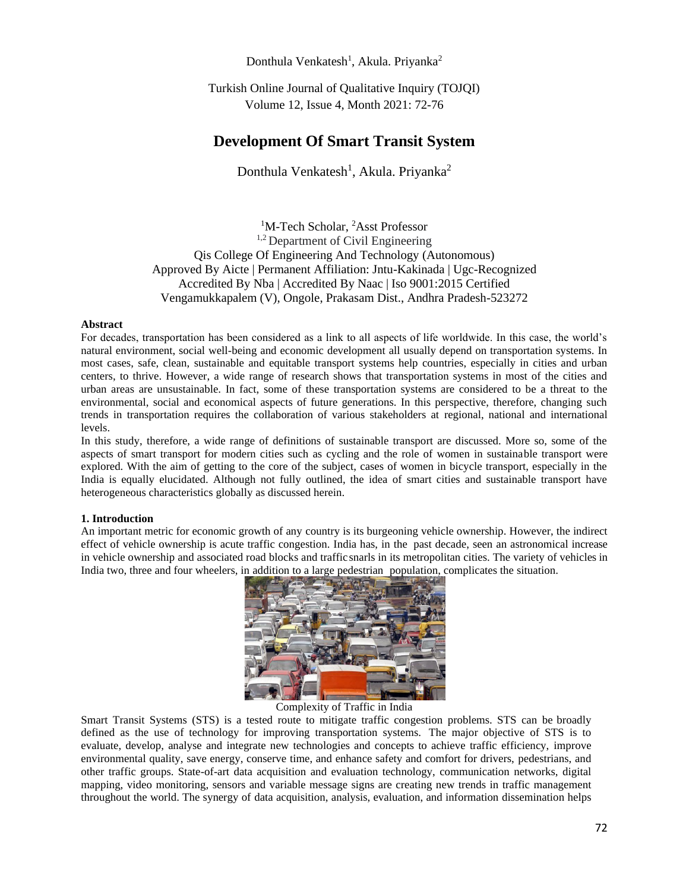# Donthula Venkatesh<sup>1</sup>, Akula. Priyanka<sup>2</sup>

Turkish Online Journal of Qualitative Inquiry (TOJQI) Volume 12, Issue 4, Month 2021: 72-76

# **Development Of Smart Transit System**

Donthula Venkatesh<sup>1</sup>, Akula. Priyanka<sup>2</sup>

<sup>1</sup>M-Tech Scholar, <sup>2</sup>Asst Professor <sup>1,2</sup> Department of Civil Engineering Qis College Of Engineering And Technology (Autonomous) Approved By Aicte | Permanent Affiliation: Jntu-Kakinada | Ugc-Recognized Accredited By Nba | Accredited By Naac | Iso 9001:2015 Certified Vengamukkapalem (V), Ongole, Prakasam Dist., Andhra Pradesh-523272

## **Abstract**

For decades, transportation has been considered as a link to all aspects of life worldwide. In this case, the world's natural environment, social well-being and economic development all usually depend on transportation systems. In most cases, safe, clean, sustainable and equitable transport systems help countries, especially in cities and urban centers, to thrive. However, a wide range of research shows that transportation systems in most of the cities and urban areas are unsustainable. In fact, some of these transportation systems are considered to be a threat to the environmental, social and economical aspects of future generations. In this perspective, therefore, changing such trends in transportation requires the collaboration of various stakeholders at regional, national and international levels.

In this study, therefore, a wide range of definitions of sustainable transport are discussed. More so, some of the aspects of smart transport for modern cities such as cycling and the role of women in sustainable transport were explored. With the aim of getting to the core of the subject, cases of women in bicycle transport, especially in the India is equally elucidated. Although not fully outlined, the idea of smart cities and sustainable transport have heterogeneous characteristics globally as discussed herein.

#### **1. Introduction**

An important metric for economic growth of any country is its burgeoning vehicle ownership. However, the indirect effect of vehicle ownership is acute traffic congestion. India has, in the past decade, seen an astronomical increase in vehicle ownership and associated road blocks and traffic snarls in its metropolitan cities. The variety of vehicles in India two, three and four wheelers, in addition to a large pedestrian population, complicates the situation.



Complexity of Traffic in India

Smart Transit Systems (STS) is a tested route to mitigate traffic congestion problems. STS can be broadly defined as the use of technology for improving transportation systems. The major objective of STS is to evaluate, develop, analyse and integrate new technologies and concepts to achieve traffic efficiency, improve environmental quality, save energy, conserve time, and enhance safety and comfort for drivers, pedestrians, and other traffic groups. State-of-art data acquisition and evaluation technology, communication networks, digital mapping, video monitoring, sensors and variable message signs are creating new trends in traffic management throughout the world. The synergy of data acquisition, analysis, evaluation, and information dissemination helps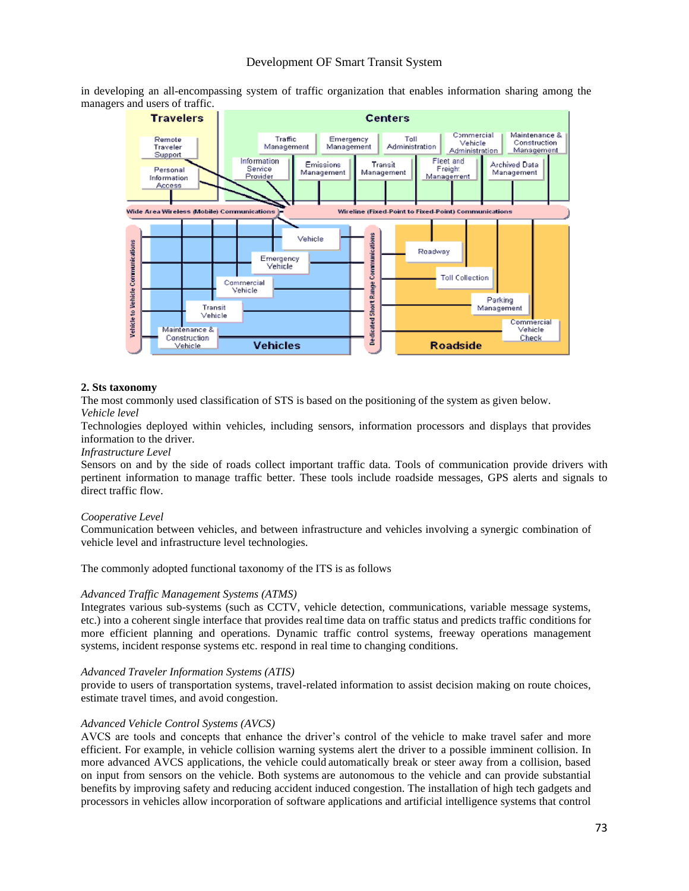in developing an all-encompassing system of traffic organization that enables information sharing among the managers and users of traffic.



# **2. Sts taxonomy**

The most commonly used classification of STS is based on the positioning of the system as given below. *Vehicle level*

Technologies deployed within vehicles, including sensors, information processors and displays that provides information to the driver.

#### *Infrastructure Level*

Sensors on and by the side of roads collect important traffic data. Tools of communication provide drivers with pertinent information to manage traffic better. These tools include roadside messages, GPS alerts and signals to direct traffic flow.

#### *Cooperative Level*

Communication between vehicles, and between infrastructure and vehicles involving a synergic combination of vehicle level and infrastructure level technologies.

The commonly adopted functional taxonomy of the ITS is as follows

# *Advanced Traffic Management Systems (ATMS)*

Integrates various sub-systems (such as CCTV, vehicle detection, communications, variable message systems, etc.) into a coherent single interface that provides realtime data on traffic status and predicts traffic conditions for more efficient planning and operations. Dynamic traffic control systems, freeway operations management systems, incident response systems etc. respond in real time to changing conditions.

#### *Advanced Traveler Information Systems (ATIS)*

provide to users of transportation systems, travel-related information to assist decision making on route choices, estimate travel times, and avoid congestion.

# *Advanced Vehicle Control Systems (AVCS)*

AVCS are tools and concepts that enhance the driver's control of the vehicle to make travel safer and more efficient. For example, in vehicle collision warning systems alert the driver to a possible imminent collision. In more advanced AVCS applications, the vehicle could automatically break or steer away from a collision, based on input from sensors on the vehicle. Both systems are autonomous to the vehicle and can provide substantial benefits by improving safety and reducing accident induced congestion. The installation of high tech gadgets and processors in vehicles allow incorporation of software applications and artificial intelligence systems that control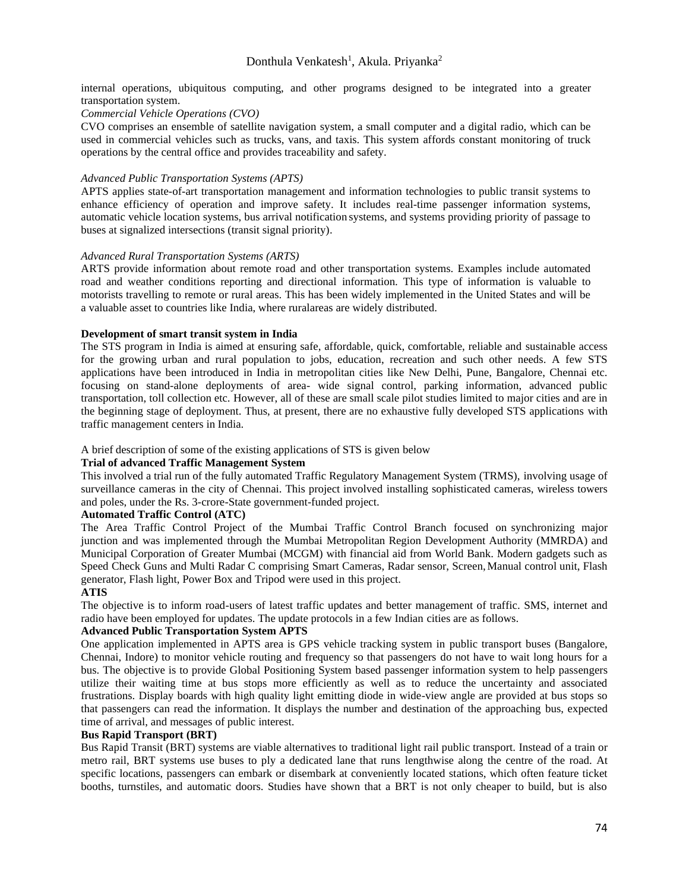internal operations, ubiquitous computing, and other programs designed to be integrated into a greater transportation system.

# *Commercial Vehicle Operations (CVO)*

CVO comprises an ensemble of satellite navigation system, a small computer and a digital radio, which can be used in commercial vehicles such as trucks, vans, and taxis. This system affords constant monitoring of truck operations by the central office and provides traceability and safety.

## *Advanced Public Transportation Systems (APTS)*

APTS applies state-of-art transportation management and information technologies to public transit systems to enhance efficiency of operation and improve safety. It includes real-time passenger information systems, automatic vehicle location systems, bus arrival notification systems, and systems providing priority of passage to buses at signalized intersections (transit signal priority).

## *Advanced Rural Transportation Systems (ARTS)*

ARTS provide information about remote road and other transportation systems. Examples include automated road and weather conditions reporting and directional information. This type of information is valuable to motorists travelling to remote or rural areas. This has been widely implemented in the United States and will be a valuable asset to countries like India, where ruralareas are widely distributed.

## **Development of smart transit system in India**

The STS program in India is aimed at ensuring safe, affordable, quick, comfortable, reliable and sustainable access for the growing urban and rural population to jobs, education, recreation and such other needs. A few STS applications have been introduced in India in metropolitan cities like New Delhi, Pune, Bangalore, Chennai etc. focusing on stand-alone deployments of area- wide signal control, parking information, advanced public transportation, toll collection etc. However, all of these are small scale pilot studies limited to major cities and are in the beginning stage of deployment. Thus, at present, there are no exhaustive fully developed STS applications with traffic management centers in India.

## A brief description of some of the existing applications of STS is given below

# **Trial of advanced Traffic Management System**

This involved a trial run of the fully automated Traffic Regulatory Management System (TRMS), involving usage of surveillance cameras in the city of Chennai. This project involved installing sophisticated cameras, wireless towers and poles, under the Rs. 3-crore-State government-funded project.

# **Automated Traffic Control (ATC)**

The Area Traffic Control Project of the Mumbai Traffic Control Branch focused on synchronizing major junction and was implemented through the Mumbai Metropolitan Region Development Authority (MMRDA) and Municipal Corporation of Greater Mumbai (MCGM) with financial aid from World Bank. Modern gadgets such as Speed Check Guns and Multi Radar C comprising Smart Cameras, Radar sensor, Screen,Manual control unit, Flash generator, Flash light, Power Box and Tripod were used in this project.

#### **ATIS**

The objective is to inform road-users of latest traffic updates and better management of traffic. SMS, internet and radio have been employed for updates. The update protocols in a few Indian cities are as follows.

# **Advanced Public Transportation System APTS**

One application implemented in APTS area is GPS vehicle tracking system in public transport buses (Bangalore, Chennai, Indore) to monitor vehicle routing and frequency so that passengers do not have to wait long hours for a bus. The objective is to provide Global Positioning System based passenger information system to help passengers utilize their waiting time at bus stops more efficiently as well as to reduce the uncertainty and associated frustrations. Display boards with high quality light emitting diode in wide-view angle are provided at bus stops so that passengers can read the information. It displays the number and destination of the approaching bus, expected time of arrival, and messages of public interest.

#### **Bus Rapid Transport (BRT)**

Bus Rapid Transit (BRT) systems are viable alternatives to traditional light rail public transport. Instead of a train or metro rail, BRT systems use buses to ply a dedicated lane that runs lengthwise along the centre of the road. At specific locations, passengers can embark or disembark at conveniently located stations, which often feature ticket booths, turnstiles, and automatic doors. Studies have shown that a BRT is not only cheaper to build, but is also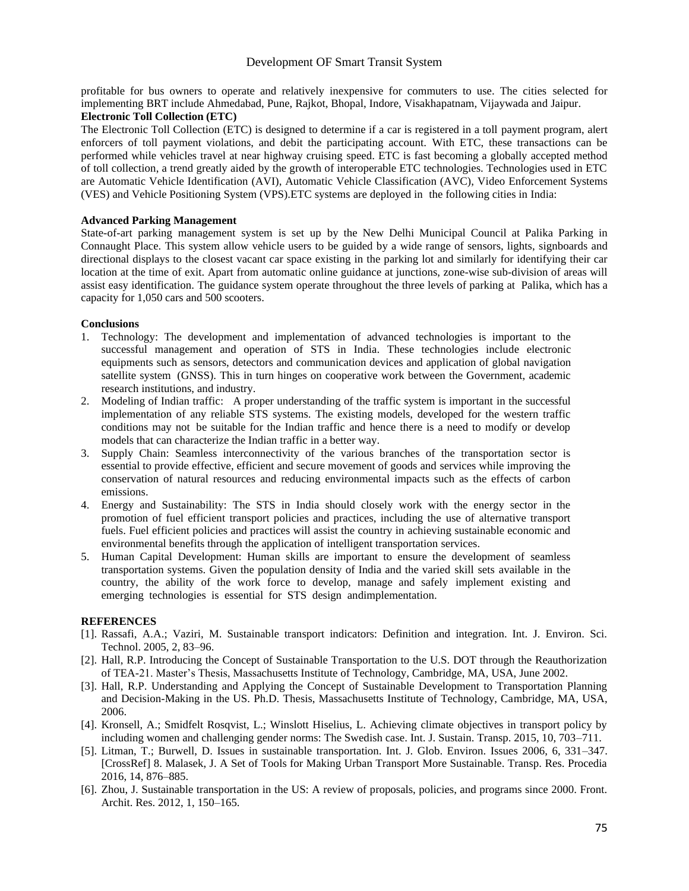# Development OF Smart Transit System

profitable for bus owners to operate and relatively inexpensive for commuters to use. The cities selected for implementing BRT include Ahmedabad, Pune, Rajkot, Bhopal, Indore, Visakhapatnam, Vijaywada and Jaipur.

# **Electronic Toll Collection (ETC)**

The Electronic Toll Collection (ETC) is designed to determine if a car is registered in a toll payment program, alert enforcers of toll payment violations, and debit the participating account. With ETC, these transactions can be performed while vehicles travel at near highway cruising speed. ETC is fast becoming a globally accepted method of toll collection, a trend greatly aided by the growth of interoperable ETC technologies. Technologies used in ETC are Automatic Vehicle Identification (AVI), Automatic Vehicle Classification (AVC), Video Enforcement Systems (VES) and Vehicle Positioning System (VPS).ETC systems are deployed in the following cities in India:

## **Advanced Parking Management**

State-of-art parking management system is set up by the New Delhi Municipal Council at Palika Parking in Connaught Place. This system allow vehicle users to be guided by a wide range of sensors, lights, signboards and directional displays to the closest vacant car space existing in the parking lot and similarly for identifying their car location at the time of exit. Apart from automatic online guidance at junctions, zone-wise sub-division of areas will assist easy identification. The guidance system operate throughout the three levels of parking at Palika, which has a capacity for 1,050 cars and 500 scooters.

## **Conclusions**

- 1. Technology: The development and implementation of advanced technologies is important to the successful management and operation of STS in India. These technologies include electronic equipments such as sensors, detectors and communication devices and application of global navigation satellite system (GNSS). This in turn hinges on cooperative work between the Government, academic research institutions, and industry.
- 2. Modeling of Indian traffic: A proper understanding of the traffic system is important in the successful implementation of any reliable STS systems. The existing models, developed for the western traffic conditions may not be suitable for the Indian traffic and hence there is a need to modify or develop models that can characterize the Indian traffic in a better way.
- 3. Supply Chain: Seamless interconnectivity of the various branches of the transportation sector is essential to provide effective, efficient and secure movement of goods and services while improving the conservation of natural resources and reducing environmental impacts such as the effects of carbon emissions.
- 4. Energy and Sustainability: The STS in India should closely work with the energy sector in the promotion of fuel efficient transport policies and practices, including the use of alternative transport fuels. Fuel efficient policies and practices will assist the country in achieving sustainable economic and environmental benefits through the application of intelligent transportation services.
- 5. Human Capital Development: Human skills are important to ensure the development of seamless transportation systems. Given the population density of India and the varied skill sets available in the country, the ability of the work force to develop, manage and safely implement existing and emerging technologies is essential for STS design andimplementation.

#### **REFERENCES**

- [1]. Rassafi, A.A.; Vaziri, M. Sustainable transport indicators: Definition and integration. Int. J. Environ. Sci. Technol. 2005, 2, 83–96.
- [2]. Hall, R.P. Introducing the Concept of Sustainable Transportation to the U.S. DOT through the Reauthorization of TEA-21. Master's Thesis, Massachusetts Institute of Technology, Cambridge, MA, USA, June 2002.
- [3]. Hall, R.P. Understanding and Applying the Concept of Sustainable Development to Transportation Planning and Decision-Making in the US. Ph.D. Thesis, Massachusetts Institute of Technology, Cambridge, MA, USA, 2006.
- [4]. Kronsell, A.; Smidfelt Rosqvist, L.; Winslott Hiselius, L. Achieving climate objectives in transport policy by including women and challenging gender norms: The Swedish case. Int. J. Sustain. Transp. 2015, 10, 703–711.
- [5]. Litman, T.; Burwell, D. Issues in sustainable transportation. Int. J. Glob. Environ. Issues 2006, 6, 331–347. [CrossRef] 8. Malasek, J. A Set of Tools for Making Urban Transport More Sustainable. Transp. Res. Procedia 2016, 14, 876–885.
- [6]. Zhou, J. Sustainable transportation in the US: A review of proposals, policies, and programs since 2000. Front. Archit. Res. 2012, 1, 150–165.